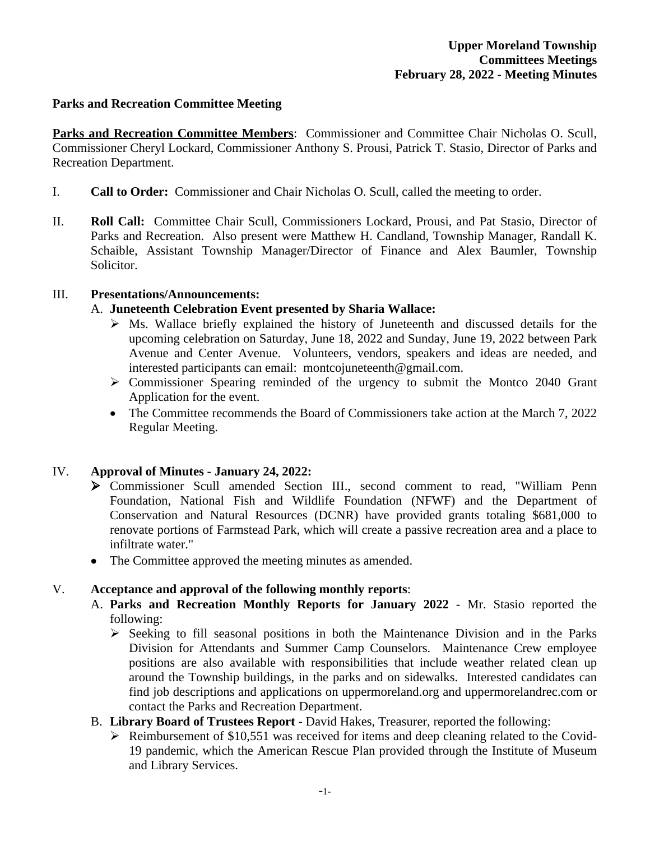### **Parks and Recreation Committee Meeting**

**Parks and Recreation Committee Members**: Commissioner and Committee Chair Nicholas O. Scull, Commissioner Cheryl Lockard, Commissioner Anthony S. Prousi, Patrick T. Stasio, Director of Parks and Recreation Department.

- I. **Call to Order:** Commissioner and Chair Nicholas O. Scull, called the meeting to order.
- II. **Roll Call:** Committee Chair Scull, Commissioners Lockard, Prousi, and Pat Stasio, Director of Parks and Recreation. Also present were Matthew H. Candland, Township Manager, Randall K. Schaible, Assistant Township Manager/Director of Finance and Alex Baumler, Township Solicitor.

### III. **Presentations/Announcements:**

### A. **Juneteenth Celebration Event presented by Sharia Wallace:**

- $\triangleright$  Ms. Wallace briefly explained the history of Juneteenth and discussed details for the upcoming celebration on Saturday, June 18, 2022 and Sunday, June 19, 2022 between Park Avenue and Center Avenue. Volunteers, vendors, speakers and ideas are needed, and interested participants can email: montcojuneteenth@gmail.com.
- Commissioner Spearing reminded of the urgency to submit the Montco 2040 Grant Application for the event.
- The Committee recommends the Board of Commissioners take action at the March 7, 2022 Regular Meeting.

### IV. **Approval of Minutes - January 24, 2022:**

- Commissioner Scull amended Section III., second comment to read, "William Penn Foundation, National Fish and Wildlife Foundation (NFWF) and the Department of Conservation and Natural Resources (DCNR) have provided grants totaling \$681,000 to renovate portions of Farmstead Park, which will create a passive recreation area and a place to infiltrate water."
- The Committee approved the meeting minutes as amended.

### V. **Acceptance and approval of the following monthly reports**:

- A. **Parks and Recreation Monthly Reports for January 2022** Mr. Stasio reported the following:
	- $\triangleright$  Seeking to fill seasonal positions in both the Maintenance Division and in the Parks Division for Attendants and Summer Camp Counselors. Maintenance Crew employee positions are also available with responsibilities that include weather related clean up around the Township buildings, in the parks and on sidewalks. Interested candidates can find job descriptions and applications on uppermoreland.org and uppermorelandrec.com or contact the Parks and Recreation Department.
- B. **Library Board of Trustees Report** David Hakes, Treasurer, reported the following:
	- $\triangleright$  Reimbursement of \$10,551 was received for items and deep cleaning related to the Covid-19 pandemic, which the American Rescue Plan provided through the Institute of Museum and Library Services.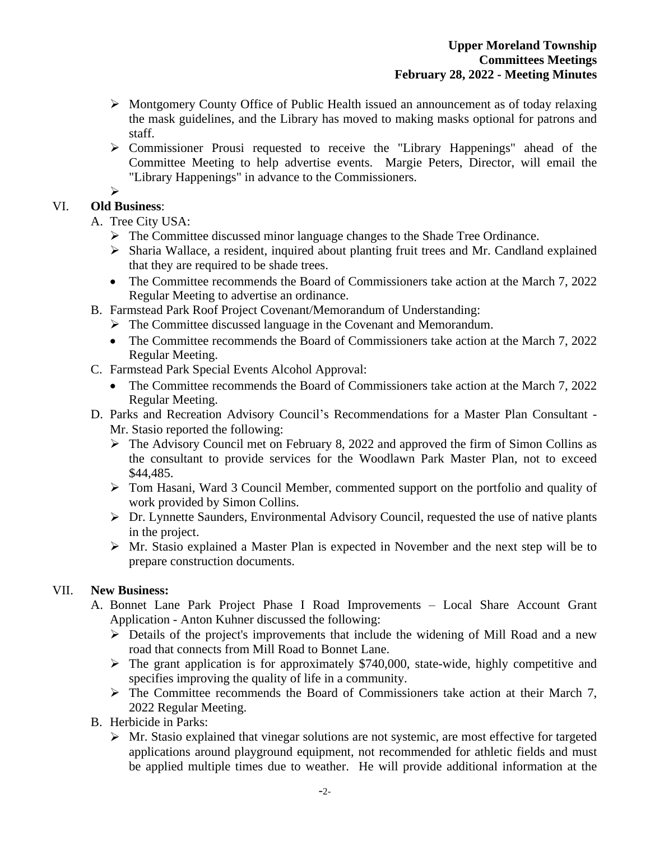- Montgomery County Office of Public Health issued an announcement as of today relaxing the mask guidelines, and the Library has moved to making masks optional for patrons and staff.
- Commissioner Prousi requested to receive the "Library Happenings" ahead of the Committee Meeting to help advertise events. Margie Peters, Director, will email the "Library Happenings" in advance to the Commissioners.

# $\triangleright$

# VI. **Old Business**:

A. Tree City USA:

- $\triangleright$  The Committee discussed minor language changes to the Shade Tree Ordinance.
- $\triangleright$  Sharia Wallace, a resident, inquired about planting fruit trees and Mr. Candland explained that they are required to be shade trees.
- The Committee recommends the Board of Commissioners take action at the March 7, 2022 Regular Meeting to advertise an ordinance.
- B. Farmstead Park Roof Project Covenant/Memorandum of Understanding:
	- The Committee discussed language in the Covenant and Memorandum.
	- The Committee recommends the Board of Commissioners take action at the March 7, 2022 Regular Meeting.
- C. Farmstead Park Special Events Alcohol Approval:
	- The Committee recommends the Board of Commissioners take action at the March 7, 2022 Regular Meeting.
- D. Parks and Recreation Advisory Council's Recommendations for a Master Plan Consultant Mr. Stasio reported the following:
	- $\triangleright$  The Advisory Council met on February 8, 2022 and approved the firm of Simon Collins as the consultant to provide services for the Woodlawn Park Master Plan, not to exceed \$44,485.
	- Tom Hasani, Ward 3 Council Member, commented support on the portfolio and quality of work provided by Simon Collins.
	- Dr. Lynnette Saunders, Environmental Advisory Council, requested the use of native plants in the project.
	- $\triangleright$  Mr. Stasio explained a Master Plan is expected in November and the next step will be to prepare construction documents.

## VII. **New Business:**

- A. Bonnet Lane Park Project Phase I Road Improvements Local Share Account Grant Application - Anton Kuhner discussed the following:
	- Details of the project's improvements that include the widening of Mill Road and a new road that connects from Mill Road to Bonnet Lane.
	- $\triangleright$  The grant application is for approximately \$740,000, state-wide, highly competitive and specifies improving the quality of life in a community.
	- $\triangleright$  The Committee recommends the Board of Commissioners take action at their March 7, 2022 Regular Meeting.
- B. Herbicide in Parks:
	- $\triangleright$  Mr. Stasio explained that vinegar solutions are not systemic, are most effective for targeted applications around playground equipment, not recommended for athletic fields and must be applied multiple times due to weather. He will provide additional information at the